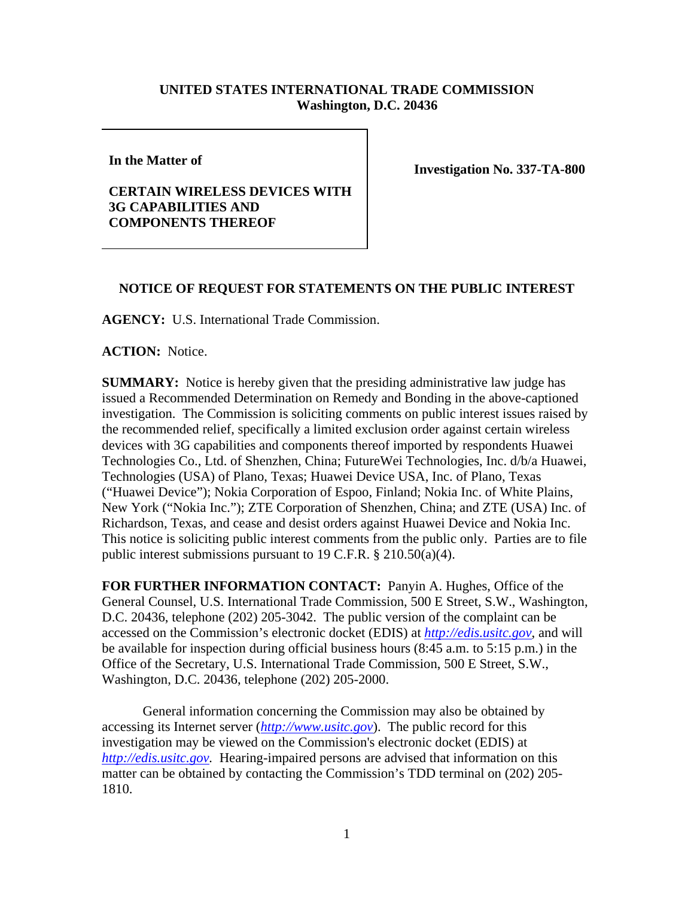## **UNITED STATES INTERNATIONAL TRADE COMMISSION Washington, D.C. 20436**

**In the Matter of** 

## **CERTAIN WIRELESS DEVICES WITH 3G CAPABILITIES AND COMPONENTS THEREOF**

**Investigation No. 337-TA-800**

## **NOTICE OF REQUEST FOR STATEMENTS ON THE PUBLIC INTEREST**

**AGENCY:** U.S. International Trade Commission.

**ACTION:** Notice.

**SUMMARY:** Notice is hereby given that the presiding administrative law judge has issued a Recommended Determination on Remedy and Bonding in the above-captioned investigation. The Commission is soliciting comments on public interest issues raised by the recommended relief, specifically a limited exclusion order against certain wireless devices with 3G capabilities and components thereof imported by respondents Huawei Technologies Co., Ltd. of Shenzhen, China; FutureWei Technologies, Inc. d/b/a Huawei, Technologies (USA) of Plano, Texas; Huawei Device USA, Inc. of Plano, Texas ("Huawei Device"); Nokia Corporation of Espoo, Finland; Nokia Inc. of White Plains, New York ("Nokia Inc."); ZTE Corporation of Shenzhen, China; and ZTE (USA) Inc. of Richardson, Texas, and cease and desist orders against Huawei Device and Nokia Inc. This notice is soliciting public interest comments from the public only. Parties are to file public interest submissions pursuant to 19 C.F.R.  $\S 210.50(a)(4)$ .

**FOR FURTHER INFORMATION CONTACT:** Panyin A. Hughes, Office of the General Counsel, U.S. International Trade Commission, 500 E Street, S.W., Washington, D.C. 20436, telephone (202) 205-3042. The public version of the complaint can be accessed on the Commission's electronic docket (EDIS) at *http://edis.usitc.gov*, and will be available for inspection during official business hours (8:45 a.m. to 5:15 p.m.) in the Office of the Secretary, U.S. International Trade Commission, 500 E Street, S.W., Washington, D.C. 20436, telephone (202) 205-2000.

General information concerning the Commission may also be obtained by accessing its Internet server (*http://www.usitc.gov*). The public record for this investigation may be viewed on the Commission's electronic docket (EDIS) at *http://edis.usitc.gov.* Hearing-impaired persons are advised that information on this matter can be obtained by contacting the Commission's TDD terminal on (202) 205- 1810.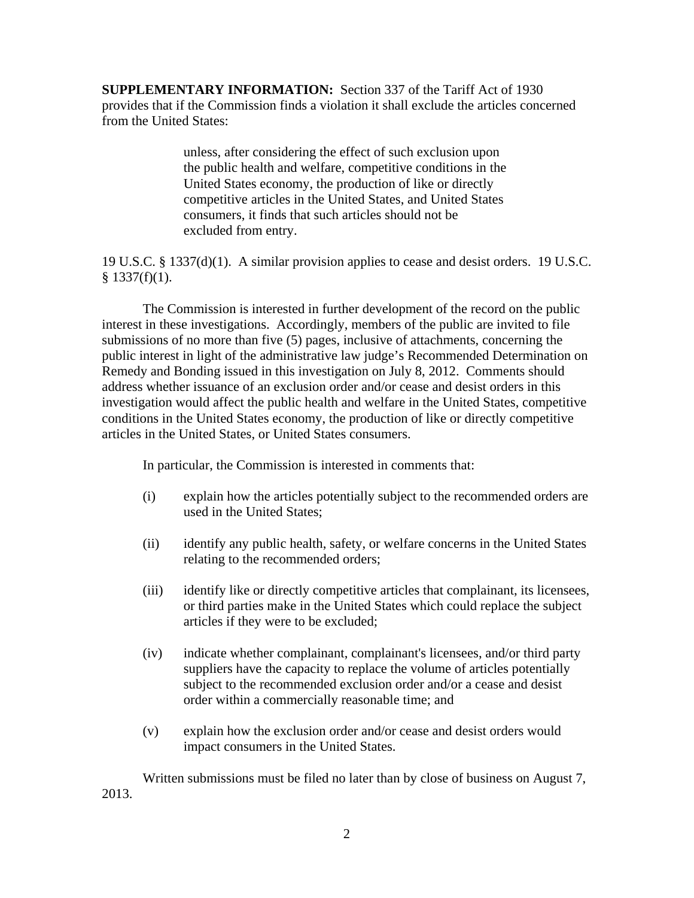**SUPPLEMENTARY INFORMATION:** Section 337 of the Tariff Act of 1930 provides that if the Commission finds a violation it shall exclude the articles concerned from the United States:

> unless, after considering the effect of such exclusion upon the public health and welfare, competitive conditions in the United States economy, the production of like or directly competitive articles in the United States, and United States consumers, it finds that such articles should not be excluded from entry.

19 U.S.C. § 1337(d)(1). A similar provision applies to cease and desist orders. 19 U.S.C.  $§$  1337(f)(1).

The Commission is interested in further development of the record on the public interest in these investigations. Accordingly, members of the public are invited to file submissions of no more than five (5) pages, inclusive of attachments, concerning the public interest in light of the administrative law judge's Recommended Determination on Remedy and Bonding issued in this investigation on July 8, 2012. Comments should address whether issuance of an exclusion order and/or cease and desist orders in this investigation would affect the public health and welfare in the United States, competitive conditions in the United States economy, the production of like or directly competitive articles in the United States, or United States consumers.

In particular, the Commission is interested in comments that:

- (i) explain how the articles potentially subject to the recommended orders are used in the United States;
- (ii) identify any public health, safety, or welfare concerns in the United States relating to the recommended orders;
- (iii) identify like or directly competitive articles that complainant, its licensees, or third parties make in the United States which could replace the subject articles if they were to be excluded;
- (iv) indicate whether complainant, complainant's licensees, and/or third party suppliers have the capacity to replace the volume of articles potentially subject to the recommended exclusion order and/or a cease and desist order within a commercially reasonable time; and
- (v) explain how the exclusion order and/or cease and desist orders would impact consumers in the United States.

Written submissions must be filed no later than by close of business on August 7, 2013.